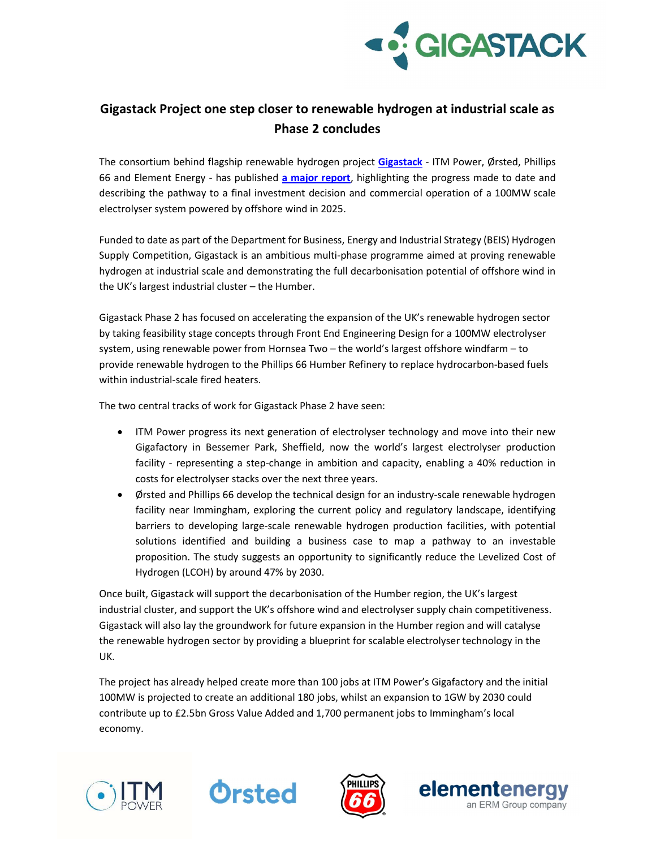

# Gigastack Project one step closer to renewable hydrogen at industrial scale as Phase 2 concludes

The consortium behind flagship renewable hydrogen project Gigastack - ITM Power, Ørsted, Phillips 66 and Element Energy - has published a major report, highlighting the progress made to date and describing the pathway to a final investment decision and commercial operation of a 100MW scale electrolyser system powered by offshore wind in 2025.

Funded to date as part of the Department for Business, Energy and Industrial Strategy (BEIS) Hydrogen Supply Competition, Gigastack is an ambitious multi-phase programme aimed at proving renewable hydrogen at industrial scale and demonstrating the full decarbonisation potential of offshore wind in the UK's largest industrial cluster – the Humber.

Gigastack Phase 2 has focused on accelerating the expansion of the UK's renewable hydrogen sector by taking feasibility stage concepts through Front End Engineering Design for a 100MW electrolyser system, using renewable power from Hornsea Two – the world's largest offshore windfarm – to provide renewable hydrogen to the Phillips 66 Humber Refinery to replace hydrocarbon-based fuels within industrial-scale fired heaters.

The two central tracks of work for Gigastack Phase 2 have seen:

- ITM Power progress its next generation of electrolyser technology and move into their new Gigafactory in Bessemer Park, Sheffield, now the world's largest electrolyser production facility - representing a step-change in ambition and capacity, enabling a 40% reduction in costs for electrolyser stacks over the next three years.
- Ørsted and Phillips 66 develop the technical design for an industry-scale renewable hydrogen facility near Immingham, exploring the current policy and regulatory landscape, identifying barriers to developing large-scale renewable hydrogen production facilities, with potential solutions identified and building a business case to map a pathway to an investable proposition. The study suggests an opportunity to significantly reduce the Levelized Cost of Hydrogen (LCOH) by around 47% by 2030.

Once built, Gigastack will support the decarbonisation of the Humber region, the UK's largest industrial cluster, and support the UK's offshore wind and electrolyser supply chain competitiveness. Gigastack will also lay the groundwork for future expansion in the Humber region and will catalyse the renewable hydrogen sector by providing a blueprint for scalable electrolyser technology in the UK.

The project has already helped create more than 100 jobs at ITM Power's Gigafactory and the initial 100MW is projected to create an additional 180 jobs, whilst an expansion to 1GW by 2030 could contribute up to £2.5bn Gross Value Added and 1,700 permanent jobs to Immingham's local economy.







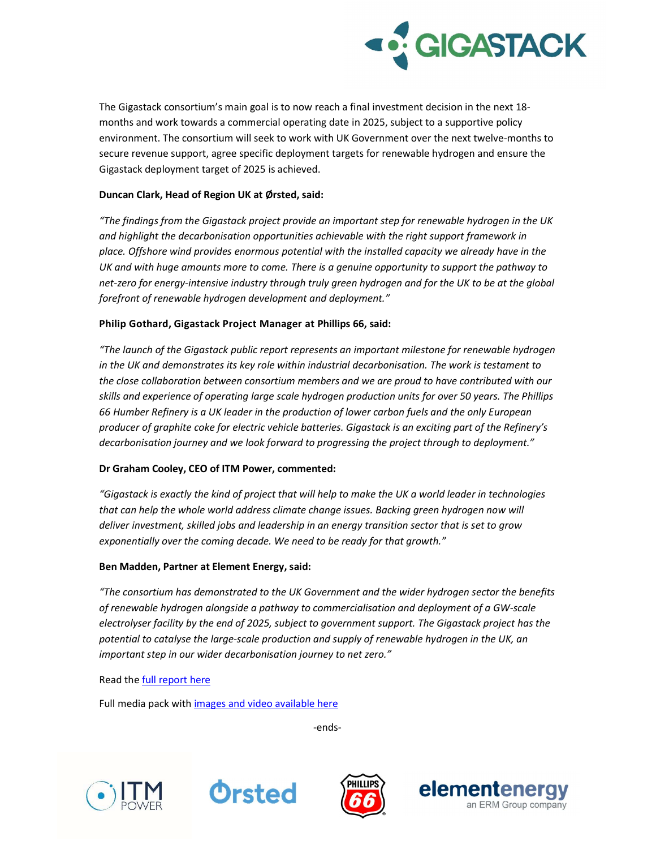

The Gigastack consortium's main goal is to now reach a final investment decision in the next 18 months and work towards a commercial operating date in 2025, subject to a supportive policy environment. The consortium will seek to work with UK Government over the next twelve-months to secure revenue support, agree specific deployment targets for renewable hydrogen and ensure the Gigastack deployment target of 2025 is achieved.

## Duncan Clark, Head of Region UK at Ørsted, said:

"The findings from the Gigastack project provide an important step for renewable hydrogen in the UK and highlight the decarbonisation opportunities achievable with the right support framework in place. Offshore wind provides enormous potential with the installed capacity we already have in the UK and with huge amounts more to come. There is a genuine opportunity to support the pathway to net-zero for energy-intensive industry through truly green hydrogen and for the UK to be at the global forefront of renewable hydrogen development and deployment."

## Philip Gothard, Gigastack Project Manager at Phillips 66, said:

"The launch of the Gigastack public report represents an important milestone for renewable hydrogen in the UK and demonstrates its key role within industrial decarbonisation. The work is testament to the close collaboration between consortium members and we are proud to have contributed with our skills and experience of operating large scale hydrogen production units for over 50 years. The Phillips 66 Humber Refinery is a UK leader in the production of lower carbon fuels and the only European producer of graphite coke for electric vehicle batteries. Gigastack is an exciting part of the Refinery's decarbonisation journey and we look forward to progressing the project through to deployment."

## Dr Graham Cooley, CEO of ITM Power, commented:

"Gigastack is exactly the kind of project that will help to make the UK a world leader in technologies that can help the whole world address climate change issues. Backing green hydrogen now will deliver investment, skilled jobs and leadership in an energy transition sector that is set to grow exponentially over the coming decade. We need to be ready for that growth."

## Ben Madden, Partner at Element Energy, said:

"The consortium has demonstrated to the UK Government and the wider hydrogen sector the benefits of renewable hydrogen alongside a pathway to commercialisation and deployment of a GW-scale electrolyser facility by the end of 2025, subject to government support. The Gigastack project has the potential to catalyse the large-scale production and supply of renewable hydrogen in the UK, an important step in our wider decarbonisation journey to net zero."

Read the full report here

Full media pack with images and video available here

-ends-







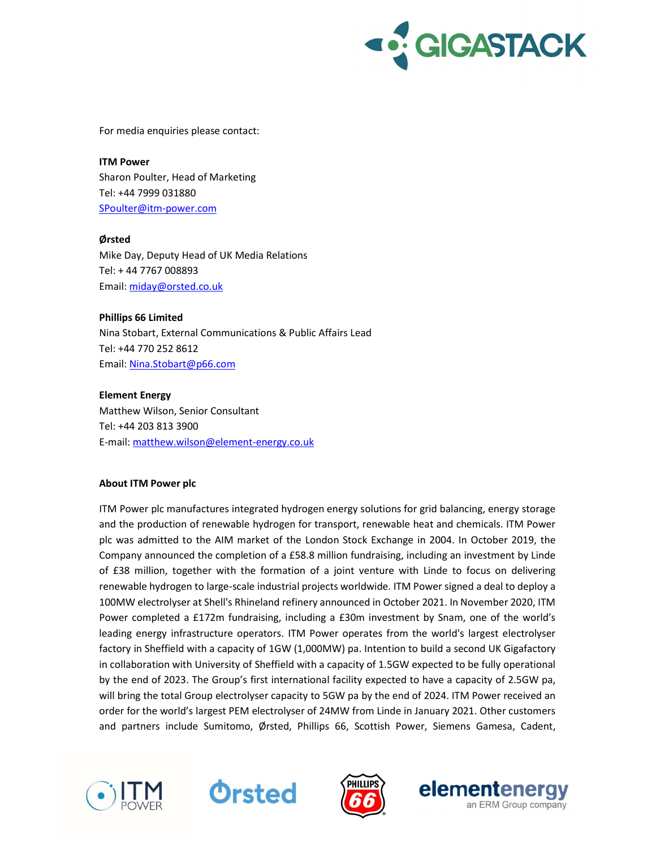

For media enquiries please contact:

ITM Power Sharon Poulter, Head of Marketing Tel: +44 7999 031880 SPoulter@itm-power.com

Ørsted Mike Day, Deputy Head of UK Media Relations Tel: + 44 7767 008893 Email: miday@orsted.co.uk

## Phillips 66 Limited

Nina Stobart, External Communications & Public Affairs Lead Tel: +44 770 252 8612 Email: Nina.Stobart@p66.com

### Element Energy

Matthew Wilson, Senior Consultant Tel: +44 203 813 3900 E-mail: matthew.wilson@element-energy.co.uk

#### About ITM Power plc

ITM Power plc manufactures integrated hydrogen energy solutions for grid balancing, energy storage and the production of renewable hydrogen for transport, renewable heat and chemicals. ITM Power plc was admitted to the AIM market of the London Stock Exchange in 2004. In October 2019, the Company announced the completion of a £58.8 million fundraising, including an investment by Linde of £38 million, together with the formation of a joint venture with Linde to focus on delivering renewable hydrogen to large-scale industrial projects worldwide. ITM Power signed a deal to deploy a 100MW electrolyser at Shell's Rhineland refinery announced in October 2021. In November 2020, ITM Power completed a £172m fundraising, including a £30m investment by Snam, one of the world's leading energy infrastructure operators. ITM Power operates from the world's largest electrolyser factory in Sheffield with a capacity of 1GW (1,000MW) pa. Intention to build a second UK Gigafactory in collaboration with University of Sheffield with a capacity of 1.5GW expected to be fully operational by the end of 2023. The Group's first international facility expected to have a capacity of 2.5GW pa, will bring the total Group electrolyser capacity to 5GW pa by the end of 2024. ITM Power received an order for the world's largest PEM electrolyser of 24MW from Linde in January 2021. Other customers and partners include Sumitomo, Ørsted, Phillips 66, Scottish Power, Siemens Gamesa, Cadent,